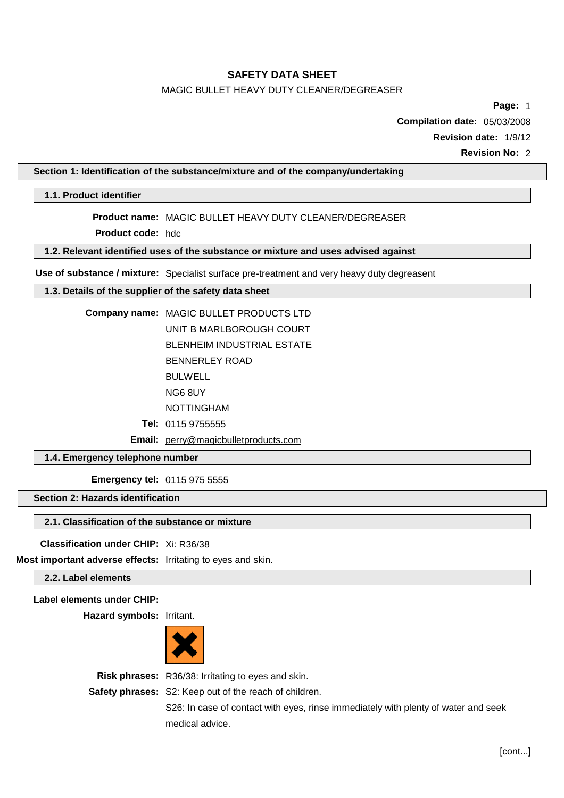# MAGIC BULLET HEAVY DUTY CLEANER/DEGREASER

**Page:** 1

**Compilation date:** 05/03/2008

**Revision date:** 1/9/12

**Revision No:** 2

## **Section 1: Identification of the substance/mixture and of the company/undertaking**

# **1.1. Product identifier**

**Product name:** MAGIC BULLET HEAVY DUTY CLEANER/DEGREASER

**Product code:** hdc

# **1.2. Relevant identified uses of the substance or mixture and uses advised against**

**Use of substance / mixture:** Specialist surface pre-treatment and very heavy duty degreasent

# **1.3. Details of the supplier of the safety data sheet**

**Company name:** MAGIC BULLET PRODUCTS LTD UNIT B MARLBOROUGH COURT BLENHEIM INDUSTRIAL ESTATE

BENNERLEY ROAD

BULWELL

NG6 8UY

NOTTINGHAM

**Tel:** 0115 9755555

**Email:** [perry@magicbulletproducts.com](mailto:perry@magicbulletproducts.com)

**1.4. Emergency telephone number**

**Emergency tel:** 0115 975 5555

# **Section 2: Hazards identification**

# **2.1. Classification of the substance or mixture**

**Classification under CHIP:** Xi: R36/38

**Most important adverse effects:** Irritating to eyes and skin.

**2.2. Label elements**

# **Label elements under CHIP:**

**Hazard symbols:** Irritant.



**Risk phrases:** R36/38: Irritating to eyes and skin.

**Safety phrases:** S2: Keep out of the reach of children.

S26: In case of contact with eyes, rinse immediately with plenty of water and seek medical advice.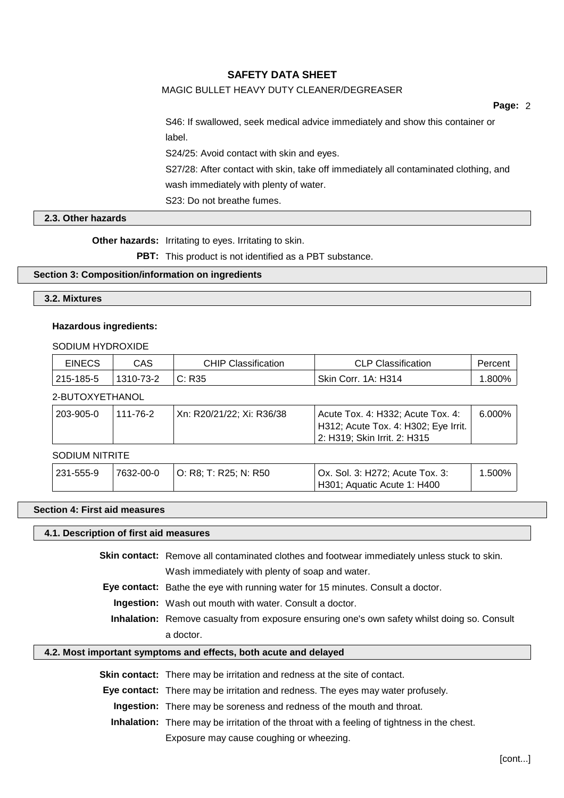# MAGIC BULLET HEAVY DUTY CLEANER/DEGREASER

**Page:** 2

S46: If swallowed, seek medical advice immediately and show this container or label.

S24/25: Avoid contact with skin and eyes.

S27/28: After contact with skin, take off immediately all contaminated clothing, and wash immediately with plenty of water.

S23: Do not breathe fumes.

### **2.3. Other hazards**

**Other hazards:** Irritating to eyes. Irritating to skin.

**PBT:** This product is not identified as a PBT substance.

# **Section 3: Composition/information on ingredients**

### **3.2. Mixtures**

### **Hazardous ingredients:**

SODIUM HYDROXIDE

| <b>EINECS</b> | CAS       | <b>CHIP Classification</b> | <b>CLP Classification</b>  | Percent  |
|---------------|-----------|----------------------------|----------------------------|----------|
| 215-185-5     | 1310-73-2 | C: R35                     | <b>Skin Corr. 1A: H314</b> | $.800\%$ |

# 2-BUTOXYETHANOL

| $^{\circ}$ 203-905-0 | 111-76-2 | Xn: R20/21/22; Xi: R36/38 | Acute Tox. 4: H332; Acute Tox. 4:    | $6.000\%$ |
|----------------------|----------|---------------------------|--------------------------------------|-----------|
|                      |          |                           | H312; Acute Tox. 4: H302; Eye Irrit. |           |
|                      |          |                           | 2: H319: Skin Irrit. 2: H315         |           |

# SODIUM NITRITE

| ' 231-555-9 | 7632-00-0 | O: R8; T: R25; N: R50 | Ox. Sol. 3: H272; Acute Tox. 3: | 1.500% |
|-------------|-----------|-----------------------|---------------------------------|--------|
|             |           |                       | H301; Aquatic Acute 1: H400     |        |

#### **Section 4: First aid measures**

### **4.1. Description of first aid measures**

**Skin contact:** Remove all contaminated clothes and footwear immediately unless stuck to skin. Wash immediately with plenty of soap and water.

**Eye contact:** Bathe the eye with running water for 15 minutes. Consult a doctor.

**Ingestion:** Wash out mouth with water. Consult a doctor.

**Inhalation:** Remove casualty from exposure ensuring one's own safety whilst doing so. Consult a doctor.

## **4.2. Most important symptoms and effects, both acute and delayed**

**Skin contact:** There may be irritation and redness at the site of contact.

**Eye contact:** There may be irritation and redness. The eyes may water profusely.

**Ingestion:** There may be soreness and redness of the mouth and throat.

**Inhalation:** There may be irritation of the throat with a feeling of tightness in the chest.

Exposure may cause coughing or wheezing.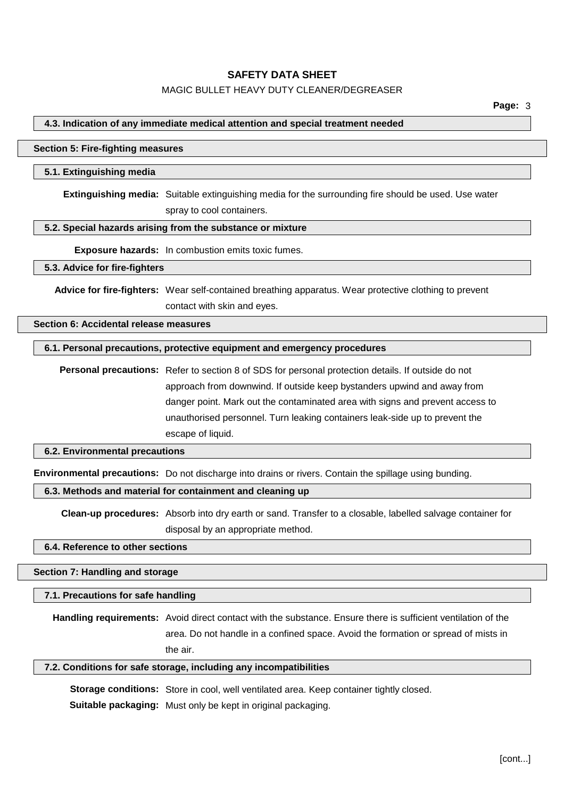# MAGIC BULLET HEAVY DUTY CLEANER/DEGREASER

### **4.3. Indication of any immediate medical attention and special treatment needed**

#### **Section 5: Fire-fighting measures**

### **5.1. Extinguishing media**

**Extinguishing media:** Suitable extinguishing media for the surrounding fire should be used. Use water spray to cool containers.

### **5.2. Special hazards arising from the substance or mixture**

**Exposure hazards:** In combustion emits toxic fumes.

#### **5.3. Advice for fire-fighters**

**Advice for fire-fighters:** Wear self-contained breathing apparatus. Wear protective clothing to prevent contact with skin and eyes.

#### **Section 6: Accidental release measures**

### **6.1. Personal precautions, protective equipment and emergency procedures**

**Personal precautions:** Refer to section 8 of SDS for personal protection details. If outside do not approach from downwind. If outside keep bystanders upwind and away from danger point. Mark out the contaminated area with signs and prevent access to unauthorised personnel. Turn leaking containers leak-side up to prevent the escape of liquid.

## **6.2. Environmental precautions**

**Environmental precautions:** Do not discharge into drains or rivers. Contain the spillage using bunding.

## **6.3. Methods and material for containment and cleaning up**

**Clean-up procedures:** Absorb into dry earth or sand. Transfer to a closable, labelled salvage container for disposal by an appropriate method.

#### **6.4. Reference to other sections**

### **Section 7: Handling and storage**

### **7.1. Precautions for safe handling**

**Handling requirements:** Avoid direct contact with the substance. Ensure there is sufficient ventilation of the area. Do not handle in a confined space. Avoid the formation or spread of mists in the air.

# **7.2. Conditions for safe storage, including any incompatibilities**

**Storage conditions:** Store in cool, well ventilated area. Keep container tightly closed. **Suitable packaging:** Must only be kept in original packaging.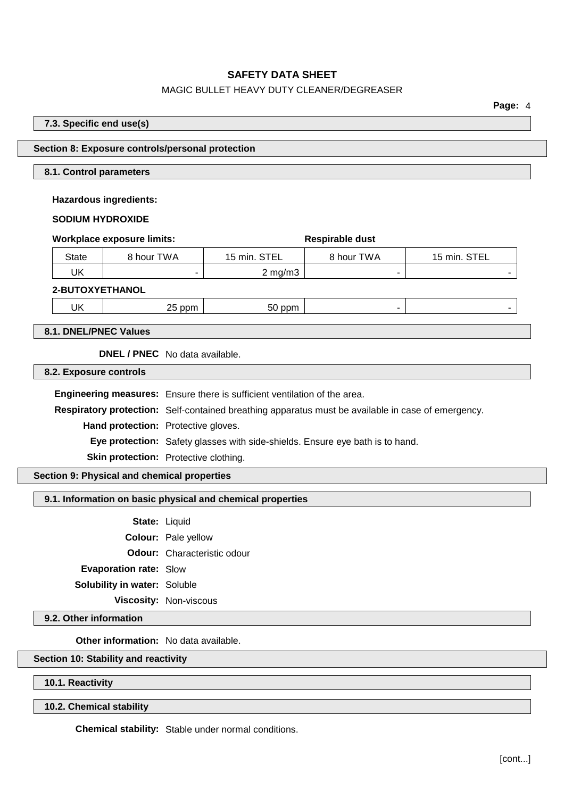# MAGIC BULLET HEAVY DUTY CLEANER/DEGREASER

**Page:** 4

## **7.3. Specific end use(s)**

# **Section 8: Exposure controls/personal protection**

#### **8.1. Control parameters**

**Hazardous ingredients:**

#### **SODIUM HYDROXIDE**

|                 | <b>Workplace exposure limits:</b> | Respirable dust    |            |              |
|-----------------|-----------------------------------|--------------------|------------|--------------|
| <b>State</b>    | 8 hour TWA                        | 15 min. STEL       | 8 hour TWA | 15 min. STEL |
| UK              |                                   | $2 \text{ mg/m}$ 3 |            |              |
| 2-BUTOXYETHANOL |                                   |                    |            |              |
| UK              | 25 ppm                            | 50 ppm             |            |              |

**8.1. DNEL/PNEC Values**

**DNEL / PNEC** No data available.

**8.2. Exposure controls**

**Engineering measures:** Ensure there is sufficient ventilation of the area.

**Respiratory protection:** Self-contained breathing apparatus must be available in case of emergency.

**Hand protection:** Protective gloves.

**Eye protection:** Safety glasses with side-shields. Ensure eye bath is to hand.

**Skin protection:** Protective clothing.

**Section 9: Physical and chemical properties**

#### **9.1. Information on basic physical and chemical properties**

**State:** Liquid

**Colour:** Pale yellow

**Odour:** Characteristic odour

**Evaporation rate:** Slow

**Solubility in water:** Soluble

**Viscosity:** Non-viscous

**9.2. Other information**

**Other information:** No data available.

# **Section 10: Stability and reactivity**

**10.1. Reactivity**

**10.2. Chemical stability**

**Chemical stability:** Stable under normal conditions.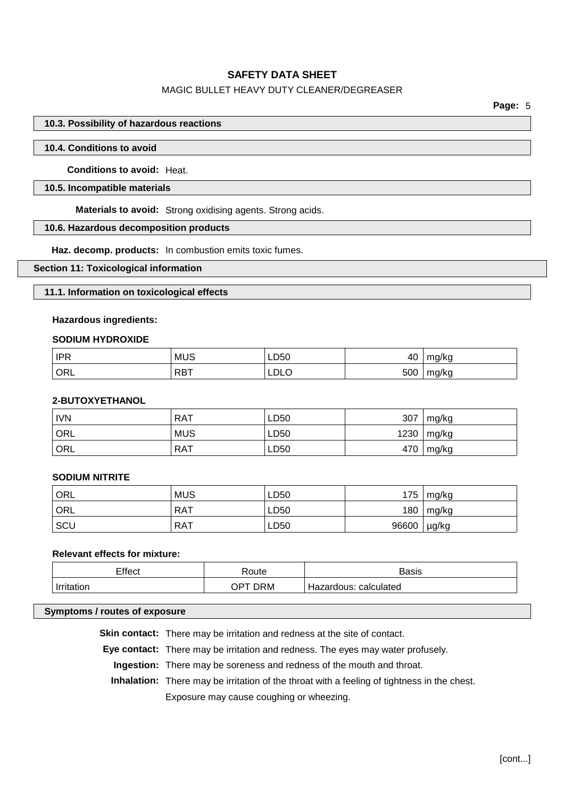# MAGIC BULLET HEAVY DUTY CLEANER/DEGREASER

## **10.3. Possibility of hazardous reactions**

### **10.4. Conditions to avoid**

**Conditions to avoid:** Heat.

#### **10.5. Incompatible materials**

**Materials to avoid:** Strong oxidising agents. Strong acids.

## **10.6. Hazardous decomposition products**

**Haz. decomp. products:** In combustion emits toxic fumes.

## **Section 11: Toxicological information**

#### **11.1. Information on toxicological effects**

# **Hazardous ingredients:**

#### **SODIUM HYDROXIDE**

| IPR<br>$\overline{\phantom{a}}$ | <b>MUS</b> | LD50 | 40  | ma/ka      |
|---------------------------------|------------|------|-----|------------|
| ORL                             | RBT        | LDLO | 500 | ma/ka<br>້ |

#### **2-BUTOXYETHANOL**

| <b>IVN</b>       | <b>RAT</b> | LD50 | 307  | mg/kg |
|------------------|------------|------|------|-------|
| ' ORL            | <b>MUS</b> | LD50 | 1230 | mg/kg |
| ORL <sup>'</sup> | <b>RAT</b> | LD50 | 470  | mg/kg |

### **SODIUM NITRITE**

| ORL   | <b>MUS</b> | LD50 | 175   | mg/kg |
|-------|------------|------|-------|-------|
| ' ORL | RAT        | LD50 | 180   | mg/kg |
| SCU   | <b>RAT</b> | LD50 | 96600 | µg/kg |

# **Relevant effects for mixture:**

| ⊤ffect | 'oute           | Basis                                      |
|--------|-----------------|--------------------------------------------|
| .      | אר PM<br>$OP^+$ | calculated<br>-lazardous <sup>.</sup><br>_ |

#### **Symptoms / routes of exposure**

**Skin contact:** There may be irritation and redness at the site of contact.

**Eye contact:** There may be irritation and redness. The eyes may water profusely.

**Ingestion:** There may be soreness and redness of the mouth and throat.

**Inhalation:** There may be irritation of the throat with a feeling of tightness in the chest. Exposure may cause coughing or wheezing.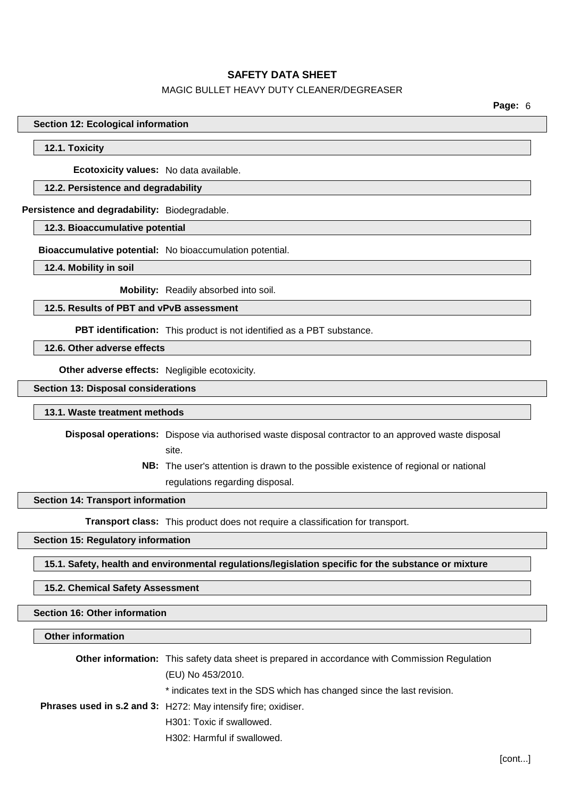# MAGIC BULLET HEAVY DUTY CLEANER/DEGREASER

**Page:** 6

**Section 12: Ecological information**

## **12.1. Toxicity**

**Ecotoxicity values:** No data available.

# **12.2. Persistence and degradability**

**Persistence and degradability:** Biodegradable.

### **12.3. Bioaccumulative potential**

**Bioaccumulative potential:** No bioaccumulation potential.

**12.4. Mobility in soil**

**Mobility:** Readily absorbed into soil.

## **12.5. Results of PBT and vPvB assessment**

**PBT identification:** This product is not identified as a PBT substance.

**12.6. Other adverse effects**

**Other adverse effects:** Negligible ecotoxicity.

**Section 13: Disposal considerations**

### **13.1. Waste treatment methods**

**Disposal operations:** Dispose via authorised waste disposal contractor to an approved waste disposal site.

> **NB:** The user's attention is drawn to the possible existence of regional or national regulations regarding disposal.

### **Section 14: Transport information**

**Transport class:** This product does not require a classification for transport.

# **Section 15: Regulatory information**

**15.1. Safety, health and environmental regulations/legislation specific for the substance or mixture**

### **15.2. Chemical Safety Assessment**

## **Section 16: Other information**

#### **Other information**

| <b>Other information:</b> This safety data sheet is prepared in accordance with Commission Regulation |                                                                        |
|-------------------------------------------------------------------------------------------------------|------------------------------------------------------------------------|
|                                                                                                       | (EU) No 453/2010.                                                      |
|                                                                                                       | * indicates text in the SDS which has changed since the last revision. |
|                                                                                                       | <b>Phrases used in s.2 and 3: H272: May intensify fire; oxidiser.</b>  |
|                                                                                                       | H301: Toxic if swallowed.                                              |
|                                                                                                       | H302: Harmful if swallowed.                                            |